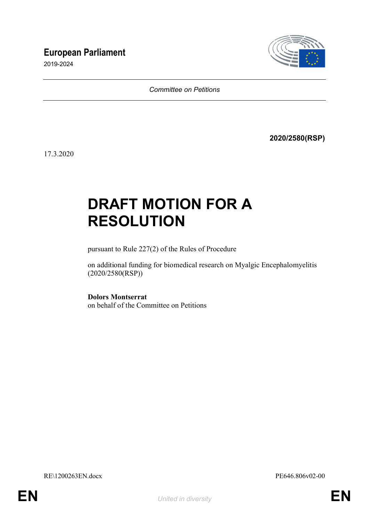# **European Parliament**

2019-2024



*Committee on Petitions*

**2020/2580(RSP)**

17.3.2020

# **DRAFT MOTION FOR A RESOLUTION**

pursuant to Rule 227(2) of the Rules of Procedure

on additional funding for biomedical research on Myalgic Encephalomyelitis (2020/2580(RSP))

**Dolors Montserrat** on behalf of the Committee on Petitions

RE\1200263EN.docx PE646.806v02-00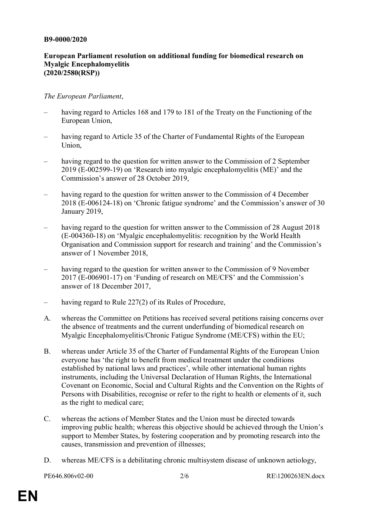### **B9-0000/2020**

## **European Parliament resolution on additional funding for biomedical research on Myalgic Encephalomyelitis (2020/2580(RSP))**

## *The European Parliament*,

- having regard to Articles 168 and 179 to 181 of the Treaty on the Functioning of the European Union,
- having regard to Article 35 of the Charter of Fundamental Rights of the European Union,
- having regard to the question for written answer to the Commission of 2 September 2019 (E-002599-19) on 'Research into myalgic encephalomyelitis (ME)' and the Commission's answer of 28 October 2019,
- having regard to the question for written answer to the Commission of 4 December 2018 (E-006124-18) on 'Chronic fatigue syndrome' and the Commission's answer of 30 January 2019,
- having regard to the question for written answer to the Commission of 28 August 2018 (E-004360-18) on 'Myalgic encephalomyelitis: recognition by the World Health Organisation and Commission support for research and training' and the Commission's answer of 1 November 2018,
- having regard to the question for written answer to the Commission of 9 November 2017 (E-006901-17) on 'Funding of research on ME/CFS' and the Commission's answer of 18 December 2017,
- having regard to Rule 227(2) of its Rules of Procedure,
- A. whereas the Committee on Petitions has received several petitions raising concerns over the absence of treatments and the current underfunding of biomedical research on Myalgic Encephalomyelitis/Chronic Fatigue Syndrome (ME/CFS) within the EU;
- B. whereas under Article 35 of the Charter of Fundamental Rights of the European Union everyone has 'the right to benefit from medical treatment under the conditions established by national laws and practices', while other international human rights instruments, including the Universal Declaration of Human Rights, the International Covenant on Economic, Social and Cultural Rights and the Convention on the Rights of Persons with Disabilities, recognise or refer to the right to health or elements of it, such as the right to medical care;
- C. whereas the actions of Member States and the Union must be directed towards improving public health; whereas this objective should be achieved through the Union's support to Member States, by fostering cooperation and by promoting research into the causes, transmission and prevention of illnesses;
- D. whereas ME/CFS is a debilitating chronic multisystem disease of unknown aetiology,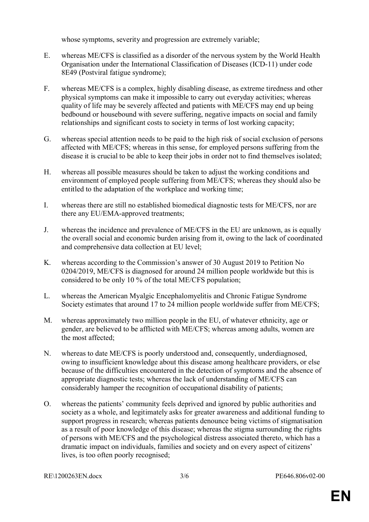whose symptoms, severity and progression are extremely variable;

- E. whereas ME/CFS is classified as a disorder of the nervous system by the World Health Organisation under the International Classification of Diseases (ICD-11) under code 8E49 (Postviral fatigue syndrome);
- F. whereas ME/CFS is a complex, highly disabling disease, as extreme tiredness and other physical symptoms can make it impossible to carry out everyday activities; whereas quality of life may be severely affected and patients with ME/CFS may end up being bedbound or housebound with severe suffering, negative impacts on social and family relationships and significant costs to society in terms of lost working capacity;
- G. whereas special attention needs to be paid to the high risk of social exclusion of persons affected with ME/CFS; whereas in this sense, for employed persons suffering from the disease it is crucial to be able to keep their jobs in order not to find themselves isolated;
- H. whereas all possible measures should be taken to adjust the working conditions and environment of employed people suffering from ME/CFS; whereas they should also be entitled to the adaptation of the workplace and working time;
- I. whereas there are still no established biomedical diagnostic tests for ME/CFS, nor are there any EU/EMA-approved treatments;
- J. whereas the incidence and prevalence of ME/CFS in the EU are unknown, as is equally the overall social and economic burden arising from it, owing to the lack of coordinated and comprehensive data collection at EU level;
- K. whereas according to the Commission's answer of 30 August 2019 to Petition No 0204/2019, ME/CFS is diagnosed for around 24 million people worldwide but this is considered to be only 10 % of the total ME/CFS population;
- L. whereas the American Myalgic Encephalomyelitis and Chronic Fatigue Syndrome Society estimates that around 17 to 24 million people worldwide suffer from ME/CFS;
- M. whereas approximately two million people in the EU, of whatever ethnicity, age or gender, are believed to be afflicted with ME/CFS; whereas among adults, women are the most affected;
- N. whereas to date ME/CFS is poorly understood and, consequently, underdiagnosed, owing to insufficient knowledge about this disease among healthcare providers, or else because of the difficulties encountered in the detection of symptoms and the absence of appropriate diagnostic tests; whereas the lack of understanding of ME/CFS can considerably hamper the recognition of occupational disability of patients;
- O. whereas the patients' community feels deprived and ignored by public authorities and society as a whole, and legitimately asks for greater awareness and additional funding to support progress in research; whereas patients denounce being victims of stigmatisation as a result of poor knowledge of this disease; whereas the stigma surrounding the rights of persons with ME/CFS and the psychological distress associated thereto, which has a dramatic impact on individuals, families and society and on every aspect of citizens' lives, is too often poorly recognised;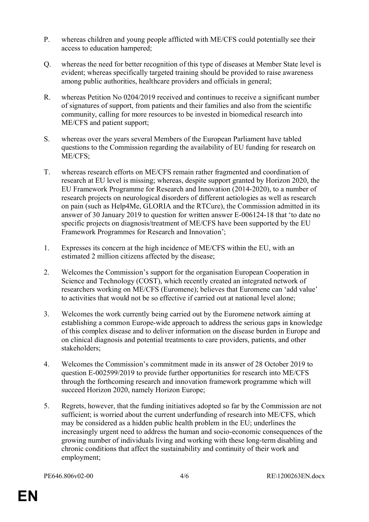- P. whereas children and young people afflicted with ME/CFS could potentially see their access to education hampered;
- Q. whereas the need for better recognition of this type of diseases at Member State level is evident; whereas specifically targeted training should be provided to raise awareness among public authorities, healthcare providers and officials in general;
- R. whereas Petition No 0204/2019 received and continues to receive a significant number of signatures of support, from patients and their families and also from the scientific community, calling for more resources to be invested in biomedical research into ME/CFS and patient support;
- S. whereas over the years several Members of the European Parliament have tabled questions to the Commission regarding the availability of EU funding for research on ME/CFS;
- T. whereas research efforts on ME/CFS remain rather fragmented and coordination of research at EU level is missing; whereas, despite support granted by Horizon 2020, the EU Framework Programme for Research and Innovation (2014-2020), to a number of research projects on neurological disorders of different aetiologies as well as research on pain (such as Help4Me, GLORIA and the RTCure), the Commission admitted in its answer of 30 January 2019 to question for written answer E-006124-18 that 'to date no specific projects on diagnosis/treatment of ME/CFS have been supported by the EU Framework Programmes for Research and Innovation';
- 1. Expresses its concern at the high incidence of ME/CFS within the EU, with an estimated 2 million citizens affected by the disease;
- 2. Welcomes the Commission's support for the organisation European Cooperation in Science and Technology (COST), which recently created an integrated network of researchers working on ME/CFS (Euromene); believes that Euromene can 'add value' to activities that would not be so effective if carried out at national level alone;
- 3. Welcomes the work currently being carried out by the Euromene network aiming at establishing a common Europe-wide approach to address the serious gaps in knowledge of this complex disease and to deliver information on the disease burden in Europe and on clinical diagnosis and potential treatments to care providers, patients, and other stakeholders;
- 4. Welcomes the Commission's commitment made in its answer of 28 October 2019 to question E-002599/2019 to provide further opportunities for research into ME/CFS through the forthcoming research and innovation framework programme which will succeed Horizon 2020, namely Horizon Europe;
- 5. Regrets, however, that the funding initiatives adopted so far by the Commission are not sufficient; is worried about the current underfunding of research into ME/CFS, which may be considered as a hidden public health problem in the EU; underlines the increasingly urgent need to address the human and socio-economic consequences of the growing number of individuals living and working with these long-term disabling and chronic conditions that affect the sustainability and continuity of their work and employment;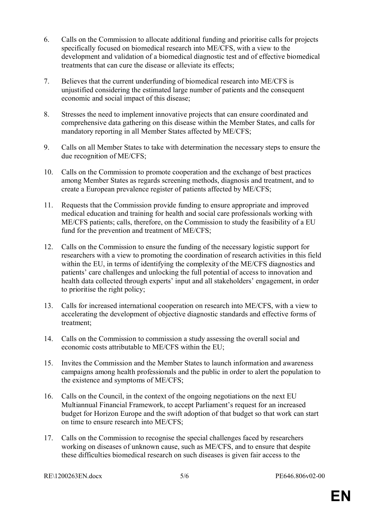- 6. Calls on the Commission to allocate additional funding and prioritise calls for projects specifically focused on biomedical research into ME/CFS, with a view to the development and validation of a biomedical diagnostic test and of effective biomedical treatments that can cure the disease or alleviate its effects;
- 7. Believes that the current underfunding of biomedical research into ME/CFS is unjustified considering the estimated large number of patients and the consequent economic and social impact of this disease;
- 8. Stresses the need to implement innovative projects that can ensure coordinated and comprehensive data gathering on this disease within the Member States, and calls for mandatory reporting in all Member States affected by ME/CFS;
- 9. Calls on all Member States to take with determination the necessary steps to ensure the due recognition of ME/CFS;
- 10. Calls on the Commission to promote cooperation and the exchange of best practices among Member States as regards screening methods, diagnosis and treatment, and to create a European prevalence register of patients affected by ME/CFS;
- 11. Requests that the Commission provide funding to ensure appropriate and improved medical education and training for health and social care professionals working with ME/CFS patients; calls, therefore, on the Commission to study the feasibility of a EU fund for the prevention and treatment of ME/CFS;
- 12. Calls on the Commission to ensure the funding of the necessary logistic support for researchers with a view to promoting the coordination of research activities in this field within the EU, in terms of identifying the complexity of the ME/CFS diagnostics and patients' care challenges and unlocking the full potential of access to innovation and health data collected through experts' input and all stakeholders' engagement, in order to prioritise the right policy;
- 13. Calls for increased international cooperation on research into ME/CFS, with a view to accelerating the development of objective diagnostic standards and effective forms of treatment;
- 14. Calls on the Commission to commission a study assessing the overall social and economic costs attributable to ME/CFS within the EU;
- 15. Invites the Commission and the Member States to launch information and awareness campaigns among health professionals and the public in order to alert the population to the existence and symptoms of ME/CFS;
- 16. Calls on the Council, in the context of the ongoing negotiations on the next EU Multiannual Financial Framework, to accept Parliament's request for an increased budget for Horizon Europe and the swift adoption of that budget so that work can start on time to ensure research into ME/CFS;
- 17. Calls on the Commission to recognise the special challenges faced by researchers working on diseases of unknown cause, such as ME/CFS, and to ensure that despite these difficulties biomedical research on such diseases is given fair access to the